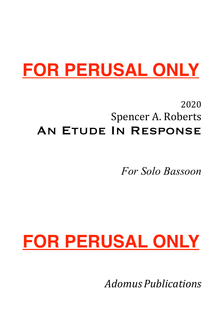# **FOR PERUSAL ONLY**

### 2020 Spencer A. Roberts An Etude In Response

*For Solo Bassoon*

# **FOR PERUSAL ONLY**

*Adomus Publications*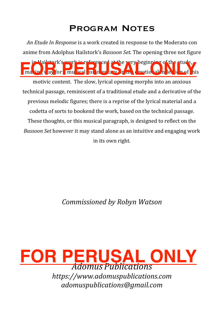### Program Notes

*An Etude In Response* is a work created in response to the Moderato con anime from Adolphus Hailstork's *Bassoon Set*. The opening three not figure

ma<sub>ting</sub> to Hailstork's work is referenced at the very beginning of the stude,  $\lambda$  ay for musical on  $\ln$  or  $\alpha$  w  $\ln$  on  $\alpha$  motional  $\ln |\alpha|$  is not his

motivic content. The slow, lyrical opening morphs into an anxious technical passage, reminiscent of a traditional etude and a derivative of the previous melodic figures; there is a reprise of the lyrical material and a codetta of sorts to bookend the work, based on the technical passage. These thoughts, or this musical paragraph, is designed to reflect on the *Bassoon Set* however it may stand alone as an intuitive and engaging work in its own right.

*Commissioned by Robyn Watson*



*adomuspublications@gmail.com*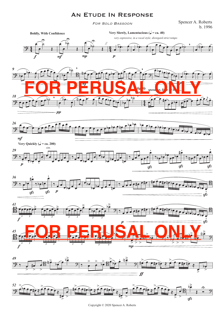#### An Etude In Response

For Solo Bassoon

Spencer A. Roberts b. 1996





Copyright © 2020 Spencer A. Roberts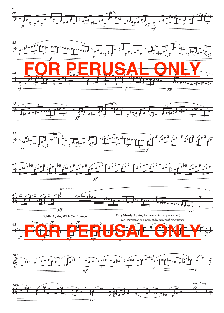











**Boldly Again, With Confidence**